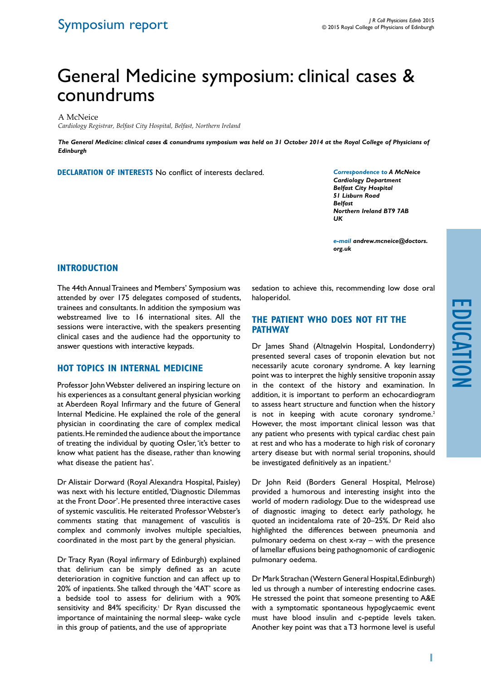# General Medicine symposium: clinical cases & conundrums

A McNeice

*Cardiology Registrar, Belfast City Hospital, Belfast, Northern Ireland*

*The General Medicine: clinical cases & conundrums symposium was held on 31 October 2014 at the Royal College of Physicians of Edinburgh*

**Declaration of Interests** No conflict of interests declared.

*Correspondence to A McNeice Cardiology Department Belfast City Hospital 51 Lisburn Road Belfast Northern Ireland BT9 7AB UK*

*e-mail andrew.mcneice@doctors. org.uk*

#### **Introduction**

The 44th Annual Trainees and Members' Symposium was attended by over 175 delegates composed of students, trainees and consultants. In addition the symposium was webstreamed live to 16 international sites. All the sessions were interactive, with the speakers presenting clinical cases and the audience had the opportunity to answer questions with interactive keypads.

## **Hot Topics in Internal Medicine**

Professor John Webster delivered an inspiring lecture on his experiences as a consultant general physician working at Aberdeen Royal Infirmary and the future of General Internal Medicine. He explained the role of the general physician in coordinating the care of complex medical patients. He reminded the audience about the importance of treating the individual by quoting Osler, 'it's better to know what patient has the disease, rather than knowing what disease the patient has'.

Dr Alistair Dorward (Royal Alexandra Hospital, Paisley) was next with his lecture entitled, 'Diagnostic Dilemmas at the Front Door'. He presented three interactive cases of systemic vasculitis. He reiterated Professor Webster's comments stating that management of vasculitis is complex and commonly involves multiple specialties, coordinated in the most part by the general physician.

Dr Tracy Ryan (Royal infirmary of Edinburgh) explained that delirium can be simply defined as an acute deterioration in cognitive function and can affect up to 20% of inpatients. She talked through the '4AT' score as a bedside tool to assess for delirium with a 90% sensitivity and 84% specificity.<sup>1</sup> Dr Ryan discussed the importance of maintaining the normal sleep- wake cycle in this group of patients, and the use of appropriate

sedation to achieve this, recommending low dose oral haloperidol.

#### **The patient who does not fit the pathway**

Dr James Shand (Altnagelvin Hospital, Londonderry) presented several cases of troponin elevation but not necessarily acute coronary syndrome. A key learning point was to interpret the highly sensitive troponin assay in the context of the history and examination. In addition, it is important to perform an echocardiogram to assess heart structure and function when the history is not in keeping with acute coronary syndrome.<sup>2</sup> However, the most important clinical lesson was that any patient who presents with typical cardiac chest pain at rest and who has a moderate to high risk of coronary artery disease but with normal serial troponins, should be investigated definitively as an inpatient.<sup>3</sup>

Dr John Reid (Borders General Hospital, Melrose) provided a humorous and interesting insight into the world of modern radiology. Due to the widespread use of diagnostic imaging to detect early pathology, he quoted an incidentaloma rate of 20–25%. Dr Reid also highlighted the differences between pneumonia and pulmonary oedema on chest x-ray – with the presence of lamellar effusions being pathognomonic of cardiogenic pulmonary oedema.

Dr Mark Strachan (Western General Hospital, Edinburgh) led us through a number of interesting endocrine cases. He stressed the point that someone presenting to A&E with a symptomatic spontaneous hypoglycaemic event must have blood insulin and c-peptide levels taken. Another key point was that a T3 hormone level is useful